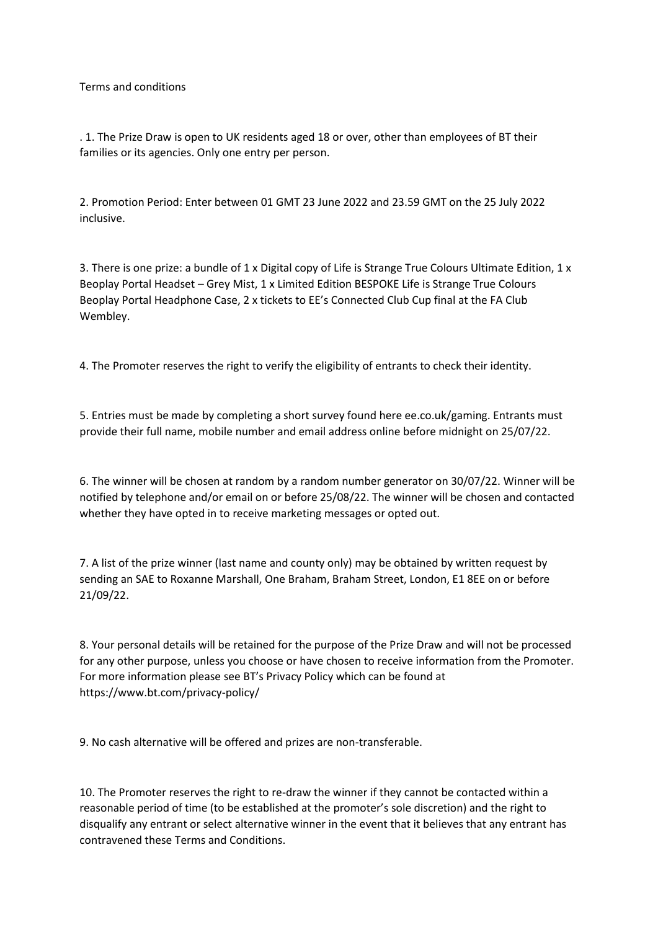Terms and conditions

. 1. The Prize Draw is open to UK residents aged 18 or over, other than employees of BT their families or its agencies. Only one entry per person.

2. Promotion Period: Enter between 01 GMT 23 June 2022 and 23.59 GMT on the 25 July 2022 inclusive.

3. There is one prize: a bundle of 1 x Digital copy of Life is Strange True Colours Ultimate Edition, 1 x Beoplay Portal Headset – Grey Mist, 1 x Limited Edition BESPOKE Life is Strange True Colours Beoplay Portal Headphone Case, 2 x tickets to EE's Connected Club Cup final at the FA Club Wembley.

4. The Promoter reserves the right to verify the eligibility of entrants to check their identity.

5. Entries must be made by completing a short survey found here ee.co.uk/gaming. Entrants must provide their full name, mobile number and email address online before midnight on 25/07/22.

6. The winner will be chosen at random by a random number generator on 30/07/22. Winner will be notified by telephone and/or email on or before 25/08/22. The winner will be chosen and contacted whether they have opted in to receive marketing messages or opted out.

7. A list of the prize winner (last name and county only) may be obtained by written request by sending an SAE to Roxanne Marshall, One Braham, Braham Street, London, E1 8EE on or before 21/09/22.

8. Your personal details will be retained for the purpose of the Prize Draw and will not be processed for any other purpose, unless you choose or have chosen to receive information from the Promoter. For more information please see BT's Privacy Policy which can be found at https://www.bt.com/privacy-policy/

9. No cash alternative will be offered and prizes are non-transferable.

10. The Promoter reserves the right to re-draw the winner if they cannot be contacted within a reasonable period of time (to be established at the promoter's sole discretion) and the right to disqualify any entrant or select alternative winner in the event that it believes that any entrant has contravened these Terms and Conditions.